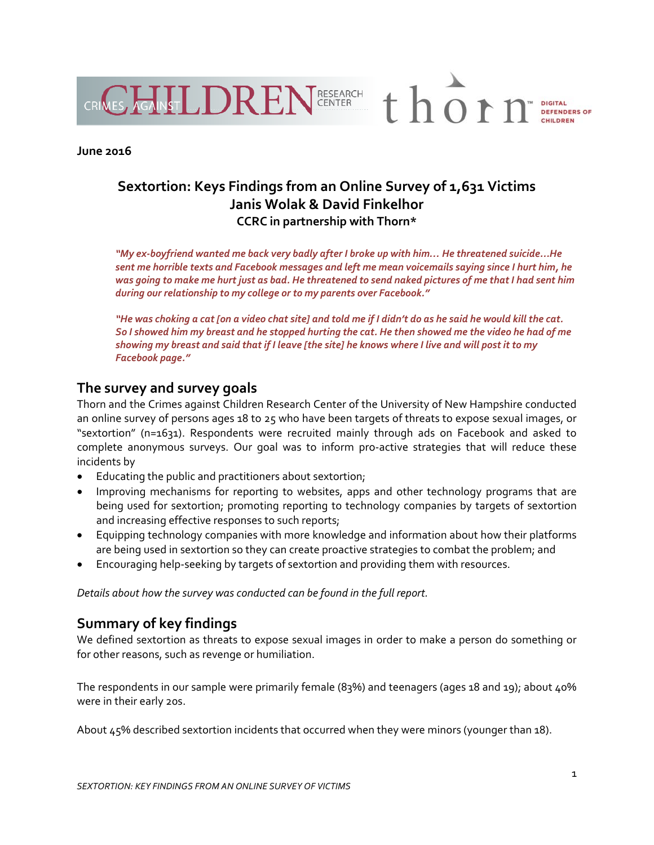

### **June 2016**

# **Sextortion: Keys Findings from an Online Survey of 1,631 Victims Janis Wolak & David Finkelhor CCRC in partnership with Thorn\***

*"My ex‐boyfriend wanted me back very badly after I broke up with him… He threatened suicide...He* sent me horrible texts and Facebook messages and left me mean voicemails saying since I hurt him, he was going to make me hurt just as bad. He threatened to send naked pictures of me that I had sent him *during our relationship to my college or to my parents over Facebook."*

"He was choking a cat [on a video chat site] and told me if I didn't do as he said he would kill the cat. So I showed him my breast and he stopped hurting the cat. He then showed me the video he had of me showing my breast and said that if I leave [the site] he knows where I live and will post it to my *Facebook page."*

### **The survey and survey goals**

Thorn and the Crimes against Children Research Center of the University of New Hampshire conducted an online survey of persons ages 18 to 25 who have been targets of threats to expose sexual images, or "sextortion" (n=1631). Respondents were recruited mainly through ads on Facebook and asked to complete anonymous surveys. Our goal was to inform pro‐active strategies that will reduce these incidents by

- Educating the public and practitioners about sextortion;
- Improving mechanisms for reporting to websites, apps and other technology programs that are being used for sextortion; promoting reporting to technology companies by targets of sextortion and increasing effective responses to such reports;
- Equipping technology companies with more knowledge and information about how their platforms are being used in sextortion so they can create proactive strategies to combat the problem; and
- Encouraging help-seeking by targets of sextortion and providing them with resources.

*etails about how the survey was conducted can be found in the full report. D*

# **ummary of key findings S**

We defined sextortion as threats to expose sexual images in order to make a person do something or for other reasons, such as revenge or humiliation.

The respondents in our sample were primarily female (83%) and teenagers (ages 18 and 19); about 40% were in their early 20s.

About 45% described sextortion incidents that occurred when they were minors (younger than 18).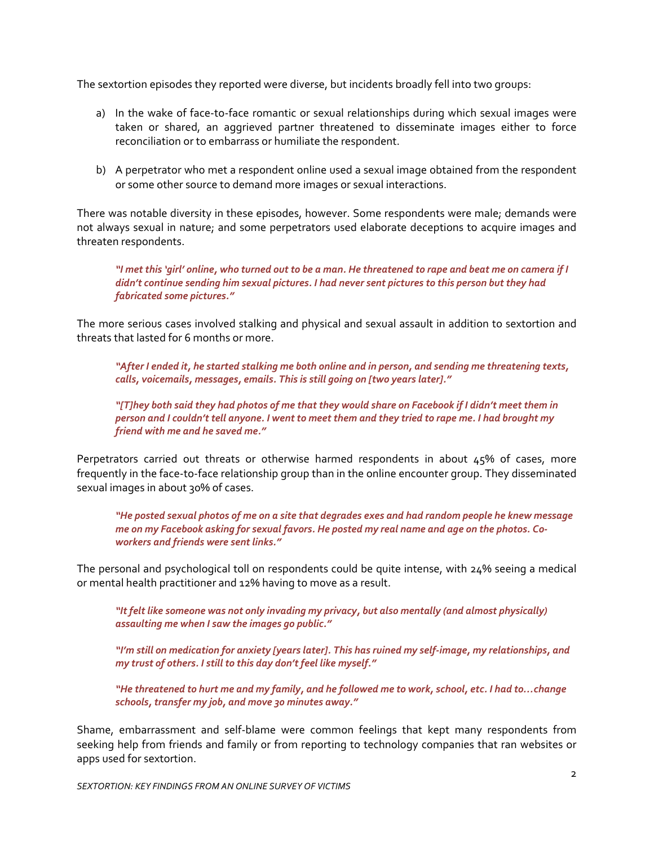he sextortion episodes they reported were diverse, but incidents broadly fell into two groups: T

- a) In the wake of face-to-face romantic or sexual relationships during which sexual images were taken or shared, an aggrieved partner threatened to disseminate images either to force reconciliation or to embarrass or humiliate the respondent.
- b) A perpetrator who met a respondent online used a sexual image obtained from the respondent or some other source to demand more images or sexual interactions.

here was notable diversity in these episodes, however. Some respondents were male; demands were T not always sexual in nature; and some perpetrators used elaborate deceptions to acquire images and threaten respondents.

"I met this 'qirl' online, who turned out to be a man. He threatened to rape and beat me on camera if I *didn't continue sending him sexual pictures. I had never sent pictures to this person but they had fabricated some pictures."*

he more serious cases involved stalking and physical and sexual assault in addition to sextortion and T threats that lasted for 6 months or more.

"After I ended it, he started stalking me both online and in person, and sending me threatening texts, *calls, voicemails, messages, emails. This is still going on [two years later]."*

[1] T]hey both said they had photos of me that they would share on Facebook if I didn't meet them in person and I couldn't tell anyone. I went to meet them and they tried to rape me. I had brought my *friend with me and he saved me."*

Perpetrators carried out threats or otherwise harmed respondents in about 45% of cases, more frequently in the face‐to‐face relationship group than in the online encounter group. They disseminated sexual images in about 30% of cases.

"He posted sexual photos of me on a site that degrades exes and had random people he knew message me on my Facebook asking for sexual favors. He posted my real name and age on the photos. Co*workers and friends were sent links."*

The personal and psychological toll on respondents could be quite intense, with 24% seeing a medical or mental health practitioner and 12% having to move as a result.

*"It felt like someone was not only invading my privacy, but also mentally (and almost physically) assaulting me when I saw the images go public."* 

"I'm still on medication for anxiety [years later]. This has ruined my self-image, my relationships, and *my trust of others. I still to this day don't feel like myself."* 

He threatened to hurt me and my family, and he followed me to work, school, etc. I had to...change." *schools, transfer my job, and move 30 minutes away."* 

hame, embarrassment and self‐blame were common feelings that kept many respondents from S seeking help from friends and family or from reporting to technology companies that ran websites or apps used for sextortion.